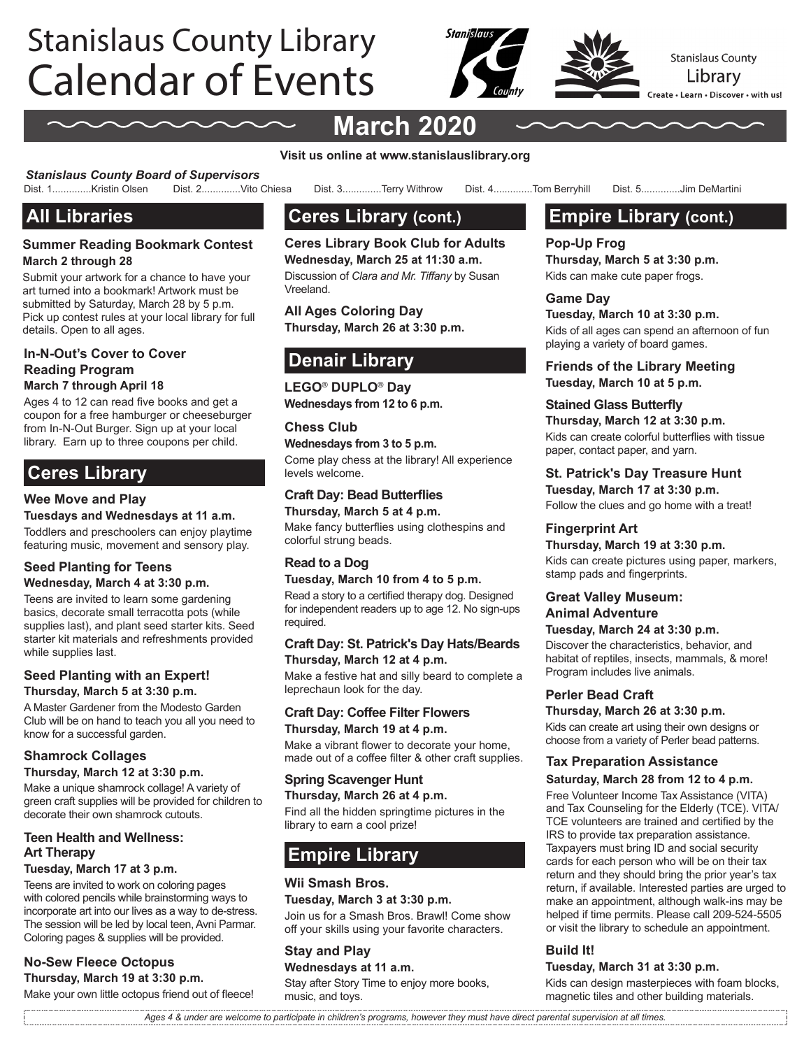# Calendar of Events Stanislaus County Library



# **March 2020**

**Visit us online at www.stanislauslibrary.org**

*Stanislaus County Board of Supervisors* Dist. 3.............Terry Withrow Dist. 4...............Tom Berryhill Dist. 5..............Jim DeMartini

# **All Libraries**

#### **Summer Reading Bookmark Contest March 2 through 28**

Submit your artwork for a chance to have your art turned into a bookmark! Artwork must be submitted by Saturday, March 28 by 5 p.m. Pick up contest rules at your local library for full details. Open to all ages.

#### **In-N-Out's Cover to Cover Reading Program March 7 through April 18**

Ages 4 to 12 can read five books and get a

coupon for a free hamburger or cheeseburger from In-N-Out Burger. Sign up at your local library. Earn up to three coupons per child.

# **Ceres Library**

#### **Wee Move and Play**

**Tuesdays and Wednesdays at 11 a.m.**

Toddlers and preschoolers can enjoy playtime featuring music, movement and sensory play.

#### **Seed Planting for Teens Wednesday, March 4 at 3:30 p.m.**

Teens are invited to learn some gardening basics, decorate small terracotta pots (while supplies last), and plant seed starter kits. Seed starter kit materials and refreshments provided while supplies last.

#### **Seed Planting with an Expert! Thursday, March 5 at 3:30 p.m.**

A Master Gardener from the Modesto Garden Club will be on hand to teach you all you need to know for a successful garden.

#### **Shamrock Collages**

#### **Thursday, March 12 at 3:30 p.m.**

Make a unique shamrock collage! A variety of green craft supplies will be provided for children to decorate their own shamrock cutouts.

### **Teen Health and Wellness: Art Therapy**

#### **Tuesday, March 17 at 3 p.m.**

Teens are invited to work on coloring pages with colored pencils while brainstorming ways to incorporate art into our lives as a way to de-stress. The session will be led by local teen, Avni Parmar. Coloring pages & supplies will be provided.

### **No-Sew Fleece Octopus Thursday, March 19 at 3:30 p.m.**

Make your own little octopus friend out of fleece!

# **Ceres Library (cont.)**

**Ceres Library Book Club for Adults Wednesday, March 25 at 11:30 a.m.** Discussion of *Clara and Mr. Tiffany* by Susan Vreeland.

**All Ages Coloring Day Thursday, March 26 at 3:30 p.m.**

# **Denair Library**

**LEGO**® **DUPLO**® **Day Wednesdays from 12 to 6 p.m.** 

#### **Chess Club**

**Wednesdays from 3 to 5 p.m.** Come play chess at the library! All experience levels welcome.

#### **Craft Day: Bead Butterflies**

**Thursday, March 5 at 4 p.m.**  Make fancy butterflies using clothespins and colorful strung beads.

## **Read to a Dog**

**Tuesday, March 10 from 4 to 5 p.m.** Read a story to a certified therapy dog. Designed for independent readers up to age 12. No sign-ups required.

#### **Craft Day: St. Patrick's Day Hats/Beards Thursday, March 12 at 4 p.m.**

Make a festive hat and silly beard to complete a leprechaun look for the day.

#### **Craft Day: Coffee Filter Flowers Thursday, March 19 at 4 p.m.**

Make a vibrant flower to decorate your home, made out of a coffee filter & other craft supplies.

#### **Spring Scavenger Hunt Thursday, March 26 at 4 p.m.**

Find all the hidden springtime pictures in the library to earn a cool prize!

# **Empire Library**

#### **Wii Smash Bros.**

**Tuesday, March 3 at 3:30 p.m.**

Join us for a Smash Bros. Brawl! Come show off your skills using your favorite characters.

#### **Stay and Play Wednesdays at 11 a.m.**

Stay after Story Time to enjoy more books, music, and toys.

# **Empire Library (cont.)**

**Pop-Up Frog Thursday, March 5 at 3:30 p.m.**  Kids can make cute paper frogs.

#### **Game Day**

**Tuesday, March 10 at 3:30 p.m.** Kids of all ages can spend an afternoon of fun playing a variety of board games.

**Friends of the Library Meeting Tuesday, March 10 at 5 p.m.** 

#### **Stained Glass Butterfly**

**Thursday, March 12 at 3:30 p.m.** Kids can create colorful butterflies with tissue paper, contact paper, and yarn.

#### **St. Patrick's Day Treasure Hunt**

**Tuesday, March 17 at 3:30 p.m.** Follow the clues and go home with a treat!

#### **Fingerprint Art**

**Thursday, March 19 at 3:30 p.m.**  Kids can create pictures using paper, markers, stamp pads and fingerprints.

#### **Great Valley Museum: Animal Adventure**

**Tuesday, March 24 at 3:30 p.m.** 

Discover the characteristics, behavior, and habitat of reptiles, insects, mammals, & more! Program includes live animals.

#### **Perler Bead Craft**

**Thursday, March 26 at 3:30 p.m.**

Kids can create art using their own designs or choose from a variety of Perler bead patterns.

#### **Tax Preparation Assistance**

#### **Saturday, March 28 from 12 to 4 p.m.**

Free Volunteer Income Tax Assistance (VITA) and Tax Counseling for the Elderly (TCE). VITA/ TCE volunteers are trained and certified by the IRS to provide tax preparation assistance. Taxpayers must bring ID and social security cards for each person who will be on their tax return and they should bring the prior year's tax return, if available. Interested parties are urged to make an appointment, although walk-ins may be helped if time permits. Please call 209-524-5505 or visit the library to schedule an appointment.

#### **Build It!**

#### **Tuesday, March 31 at 3:30 p.m.**

Kids can design masterpieces with foam blocks, magnetic tiles and other building materials.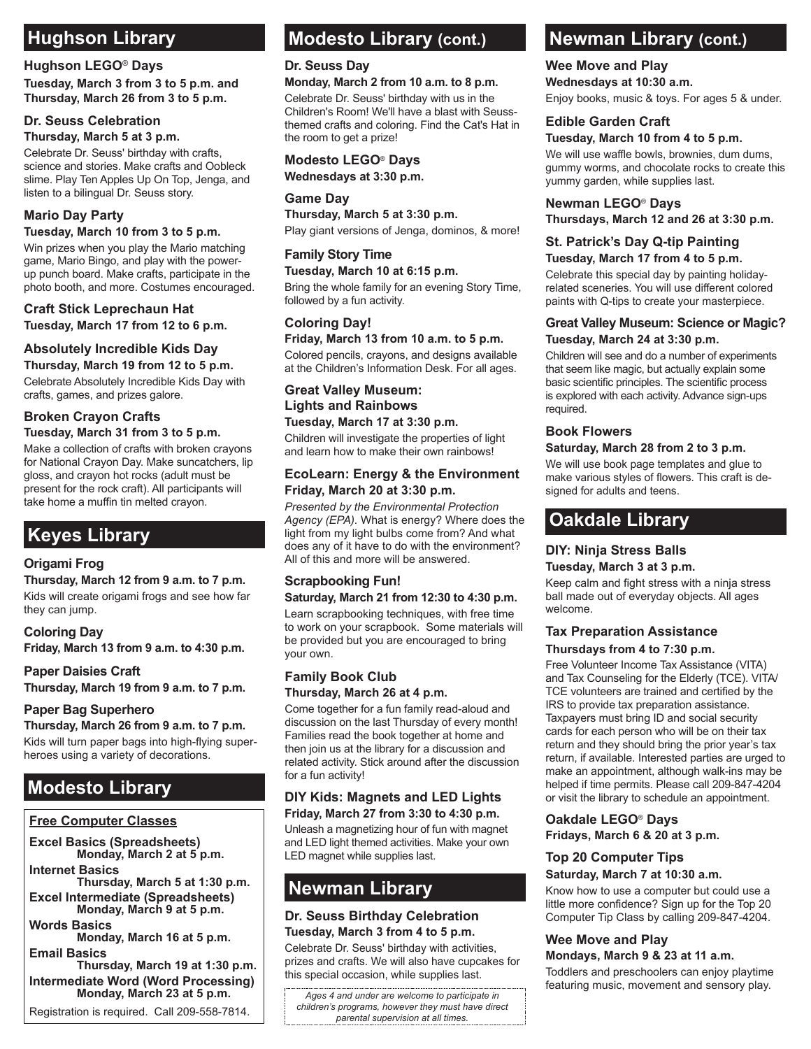#### **Hughson LEGO**® **Days**

**Tuesday, March 3 from 3 to 5 p.m. and Thursday, March 26 from 3 to 5 p.m.** 

#### **Dr. Seuss Celebration**

#### **Thursday, March 5 at 3 p.m.**

Celebrate Dr. Seuss' birthday with crafts, science and stories. Make crafts and Oobleck slime. Play Ten Apples Up On Top, Jenga, and listen to a bilingual Dr. Seuss story.

#### **Mario Day Party**

#### **Tuesday, March 10 from 3 to 5 p.m.**

Win prizes when you play the Mario matching game, Mario Bingo, and play with the powerup punch board. Make crafts, participate in the photo booth, and more. Costumes encouraged.

#### **Craft Stick Leprechaun Hat Tuesday, March 17 from 12 to 6 p.m.**

### **Absolutely Incredible Kids Day**

**Thursday, March 19 from 12 to 5 p.m.** Celebrate Absolutely Incredible Kids Day with crafts, games, and prizes galore.

#### **Broken Crayon Crafts Tuesday, March 31 from 3 to 5 p.m.**

Make a collection of crafts with broken crayons for National Crayon Day. Make suncatchers, lip gloss, and crayon hot rocks (adult must be present for the rock craft). All participants will take home a muffin tin melted crayon.

# **Keyes Library**

#### **Origami Frog**

**Thursday, March 12 from 9 a.m. to 7 p.m.**  Kids will create origami frogs and see how far they can jump.

#### **Coloring Day**

**Friday, March 13 from 9 a.m. to 4:30 p.m.** 

#### **Paper Daisies Craft**

**Thursday, March 19 from 9 a.m. to 7 p.m.** 

#### **Paper Bag Superhero**

**Thursday, March 26 from 9 a.m. to 7 p.m.**

Kids will turn paper bags into high-flying superheroes using a variety of decorations.

#### **Free Computer Classes**

**Excel Basics (Spreadsheets) Monday, March 2 at 5 p.m.** 

#### **Internet Basics**

**Thursday, March 5 at 1:30 p.m. Excel Intermediate (Spreadsheets) Monday, March 9 at 5 p.m.** 

**Words Basics** 

**Monday, March 16 at 5 p.m. Email Basics** 

**Thursday, March 19 at 1:30 p.m. Intermediate Word (Word Processing) Monday, March 23 at 5 p.m.** 

Registration is required. Call 209-558-7814.

# **Modesto Library (cont.)**

#### **Dr. Seuss Day**

#### **Monday, March 2 from 10 a.m. to 8 p.m.**

Celebrate Dr. Seuss' birthday with us in the Children's Room! We'll have a blast with Seussthemed crafts and coloring. Find the Cat's Hat in the room to get a prize!

#### **Modesto LEGO**® **Days Wednesdays at 3:30 p.m.**

**Game Day Thursday, March 5 at 3:30 p.m.**  Play giant versions of Jenga, dominos, & more!

#### **Family Story Time**

**Tuesday, March 10 at 6:15 p.m.** Bring the whole family for an evening Story Time, followed by a fun activity.

### **Coloring Day!**

**Friday, March 13 from 10 a.m. to 5 p.m.** 

Colored pencils, crayons, and designs available at the Children's Information Desk. For all ages.

#### **Great Valley Museum: Lights and Rainbows Tuesday, March 17 at 3:30 p.m.**

Children will investigate the properties of light and learn how to make their own rainbows!

#### **EcoLearn: Energy & the Environment Friday, March 20 at 3:30 p.m.**

*Presented by the Environmental Protection Agency (EPA).* What is energy? Where does the light from my light bulbs come from? And what does any of it have to do with the environment? All of this and more will be answered.

# **Scrapbooking Fun!**

**Saturday, March 21 from 12:30 to 4:30 p.m.**

Learn scrapbooking techniques, with free time to work on your scrapbook. Some materials will be provided but you are encouraged to bring your own.

#### **Family Book Club Thursday, March 26 at 4 p.m.**

Come together for a fun family read-aloud and discussion on the last Thursday of every month! Families read the book together at home and then join us at the library for a discussion and related activity. Stick around after the discussion for a fun activity!

# **Friday, March 27 from 3:30 to 4:30 p.m.**

Unleash a magnetizing hour of fun with magnet and LED light themed activities. Make your own LED magnet while supplies last.

# **Newman Library**

# **Dr. Seuss Birthday Celebration**

**Tuesday, March 3 from 4 to 5 p.m.** Celebrate Dr. Seuss' birthday with activities, prizes and crafts. We will also have cupcakes for this special occasion, while supplies last.

*Ages 4 and under are welcome to participate in children's programs, however they must have direct parental supervision at all times.* 

# Hughson Library **Modesto Library (cont.)** Newman Library (cont.)

### **Wee Move and Play**

**Wednesdays at 10:30 a.m.** Enjoy books, music & toys. For ages 5 & under.

#### **Edible Garden Craft**

#### **Tuesday, March 10 from 4 to 5 p.m.**

We will use waffle bowls, brownies, dum dums, gummy worms, and chocolate rocks to create this yummy garden, while supplies last.

#### **Newman LEGO**® **Days**

**Thursdays, March 12 and 26 at 3:30 p.m.**

#### **St. Patrick's Day Q-tip Painting Tuesday, March 17 from 4 to 5 p.m.**

Celebrate this special day by painting holidayrelated sceneries. You will use different colored paints with Q-tips to create your masterpiece.

#### **Great Valley Museum: Science or Magic? Tuesday, March 24 at 3:30 p.m.**

Children will see and do a number of experiments that seem like magic, but actually explain some basic scientific principles. The scientific process is explored with each activity. Advance sign-ups required.

#### **Book Flowers**

#### **Saturday, March 28 from 2 to 3 p.m.**

We will use book page templates and glue to make various styles of flowers. This craft is designed for adults and teens.

# **Oakdale Library**

#### **DIY: Ninja Stress Balls Tuesday, March 3 at 3 p.m.**

Keep calm and fight stress with a ninja stress ball made out of everyday objects. All ages welcome.

#### **Tax Preparation Assistance**

#### **Thursdays from 4 to 7:30 p.m.**

**Modesto Library**<br>**DIY Kids: Magnets and LED Lights** or visit the library to schedule an appointment. Free Volunteer Income Tax Assistance (VITA) and Tax Counseling for the Elderly (TCE). VITA/ TCE volunteers are trained and certified by the IRS to provide tax preparation assistance. Taxpayers must bring ID and social security cards for each person who will be on their tax return and they should bring the prior year's tax return, if available. Interested parties are urged to make an appointment, although walk-ins may be<br>helped if time permits. Please call 209-847-4204

#### **Oakdale LEGO**® **Days**

**Fridays, March 6 & 20 at 3 p.m.**

#### **Top 20 Computer Tips**

#### **Saturday, March 7 at 10:30 a.m.**

Know how to use a computer but could use a little more confidence? Sign up for the Top 20 Computer Tip Class by calling 209-847-4204.

#### **Wee Move and Play Mondays, March 9 & 23 at 11 a.m.**

Toddlers and preschoolers can enjoy playtime featuring music, movement and sensory play.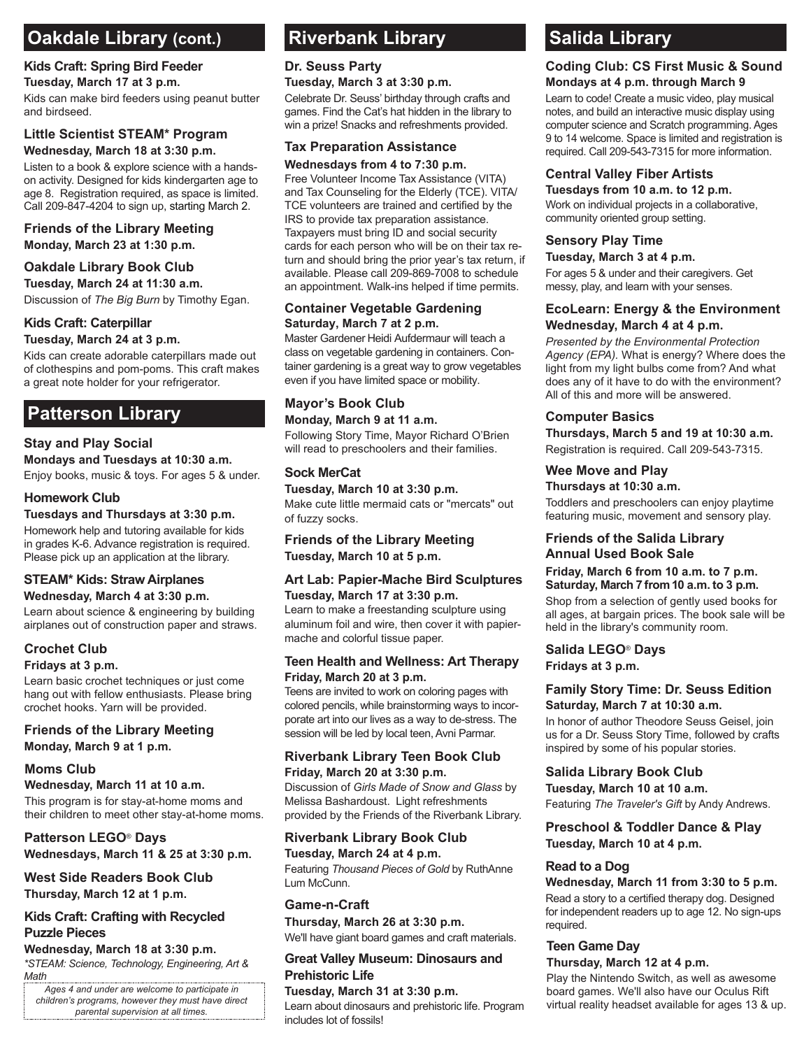# **Oakdale Library (cont.) Riverbank Library Content Salida Library**

# **Kids Craft: Spring Bird Feeder**

#### **Tuesday, March 17 at 3 p.m.**

Kids can make bird feeders using peanut butter and birdseed.

#### **Little Scientist STEAM\* Program Wednesday, March 18 at 3:30 p.m.**

Listen to a book & explore science with a handson activity. Designed for kids kindergarten age to age 8. Registration required, as space is limited. Call 209-847-4204 to sign up, starting March 2.

#### **Friends of the Library Meeting Monday, March 23 at 1:30 p.m.**

### **Oakdale Library Book Club**

**Tuesday, March 24 at 11:30 a.m.** Discussion of *The Big Burn* by Timothy Egan.

#### **Kids Craft: Caterpillar Tuesday, March 24 at 3 p.m.**

Kids can create adorable caterpillars made out of clothespins and pom-poms. This craft makes a great note holder for your refrigerator.

# **Patterson Library**

## **Stay and Play Social**

**Mondays and Tuesdays at 10:30 a.m.** Enjoy books, music & toys. For ages 5 & under.

#### **Homework Club**

**Tuesdays and Thursdays at 3:30 p.m.** Homework help and tutoring available for kids in grades K-6. Advance registration is required. Please pick up an application at the library.

#### **STEAM\* Kids: Straw Airplanes Wednesday, March 4 at 3:30 p.m.**

Learn about science & engineering by building airplanes out of construction paper and straws.

## **Crochet Club**

#### **Fridays at 3 p.m.**

Learn basic crochet techniques or just come hang out with fellow enthusiasts. Please bring crochet hooks. Yarn will be provided.

#### **Friends of the Library Meeting Monday, March 9 at 1 p.m.**

### **Moms Club**

#### **Wednesday, March 11 at 10 a.m.**

This program is for stay-at-home moms and their children to meet other stay-at-home moms.

**Patterson LEGO**® **Days Wednesdays, March 11 & 25 at 3:30 p.m.**

### **West Side Readers Book Club Thursday, March 12 at 1 p.m.**

# **Kids Craft: Crafting with Recycled Puzzle Pieces**

*\*STEAM: Science, Technology, Engineering, Art & Math* **Wednesday, March 18 at 3:30 p.m.**

*Ages 4 and under are welcome to participate in children's programs, however they must have direct parental supervision at all times.* 

# **Riverbank Library**

# **Dr. Seuss Party**

### **Tuesday, March 3 at 3:30 p.m.**

Celebrate Dr. Seuss' birthday through crafts and games. Find the Cat's hat hidden in the library to win a prize! Snacks and refreshments provided.

# **Tax Preparation Assistance**

#### **Wednesdays from 4 to 7:30 p.m.**

Free Volunteer Income Tax Assistance (VITA) and Tax Counseling for the Elderly (TCE). VITA/ TCE volunteers are trained and certified by the IRS to provide tax preparation assistance. Taxpayers must bring ID and social security cards for each person who will be on their tax return and should bring the prior year's tax return, if available. Please call 209-869-7008 to schedule an appointment. Walk-ins helped if time permits.

#### **Container Vegetable Gardening Saturday, March 7 at 2 p.m.**

Master Gardener Heidi Aufdermaur will teach a class on vegetable gardening in containers. Container gardening is a great way to grow vegetables even if you have limited space or mobility.

#### **Mayor's Book Club Monday, March 9 at 11 a.m.**

Following Story Time, Mayor Richard O'Brien will read to preschoolers and their families.

#### **Sock MerCat**

**Tuesday, March 10 at 3:30 p.m.** Make cute little mermaid cats or "mercats" out of fuzzy socks.

#### **Friends of the Library Meeting Tuesday, March 10 at 5 p.m.**

#### **Art Lab: Papier-Mache Bird Sculptures Tuesday, March 17 at 3:30 p.m.**

Learn to make a freestanding sculpture using aluminum foil and wire, then cover it with papiermache and colorful tissue paper.

#### **Teen Health and Wellness: Art Therapy Friday, March 20 at 3 p.m.**

Teens are invited to work on coloring pages with colored pencils, while brainstorming ways to incorporate art into our lives as a way to de-stress. The session will be led by local teen, Avni Parmar.

# **Riverbank Library Teen Book Club**

**Friday, March 20 at 3:30 p.m.** Discussion of *Girls Made of Snow and Glass* by Melissa Bashardoust. Light refreshments provided by the Friends of the Riverbank Library.

### **Riverbank Library Book Club**

**Tuesday, March 24 at 4 p.m.** Featuring *Thousand Pieces of Gold* by RuthAnne Lum McCunn.

#### **Game-n-Craft**

**Thursday, March 26 at 3:30 p.m.**  We'll have giant board games and craft materials.

#### **Great Valley Museum: Dinosaurs and Prehistoric Life**

**Tuesday, March 31 at 3:30 p.m.** Learn about dinosaurs and prehistoric life. Program includes lot of fossils!

#### **Coding Club: CS First Music & Sound Mondays at 4 p.m. through March 9**

Learn to code! Create a music video, play musical notes, and build an interactive music display using computer science and Scratch programming. Ages 9 to 14 welcome. Space is limited and registration is required. Call 209-543-7315 for more information.

### **Central Valley Fiber Artists**

**Tuesdays from 10 a.m. to 12 p.m.** Work on individual projects in a collaborative, community oriented group setting.

# **Sensory Play Time**

**Tuesday, March 3 at 4 p.m.** 

For ages 5 & under and their caregivers. Get messy, play, and learn with your senses.

#### **EcoLearn: Energy & the Environment Wednesday, March 4 at 4 p.m.**

*Presented by the Environmental Protection Agency (EPA).* What is energy? Where does the light from my light bulbs come from? And what does any of it have to do with the environment? All of this and more will be answered.

### **Computer Basics**

**Thursdays, March 5 and 19 at 10:30 a.m.** Registration is required. Call 209-543-7315.

#### **Wee Move and Play**

#### **Thursdays at 10:30 a.m.**

Toddlers and preschoolers can enjoy playtime featuring music, movement and sensory play.

#### **Friends of the Salida Library Annual Used Book Sale**

#### **Friday, March 6 from 10 a.m. to 7 p.m. Saturday, March 7 from 10 a.m. to 3 p.m.**

Shop from a selection of gently used books for all ages, at bargain prices. The book sale will be held in the library's community room.

#### **Salida LEGO**® **Days Fridays at 3 p.m.**

#### **Family Story Time: Dr. Seuss Edition Saturday, March 7 at 10:30 a.m.**

In honor of author Theodore Seuss Geisel, join us for a Dr. Seuss Story Time, followed by crafts inspired by some of his popular stories.

#### **Salida Library Book Club**

**Tuesday, March 10 at 10 a.m.** Featuring *The Traveler's Gift* by Andy Andrews.

#### **Preschool & Toddler Dance & Play Tuesday, March 10 at 4 p.m.**

#### **Read to a Dog**

**Wednesday, March 11 from 3:30 to 5 p.m.** Read a story to a certified therapy dog. Designed for independent readers up to age 12. No sign-ups required.

### **Teen Game Day**

#### **Thursday, March 12 at 4 p.m.**

Play the Nintendo Switch, as well as awesome board games. We'll also have our Oculus Rift virtual reality headset available for ages 13 & up.